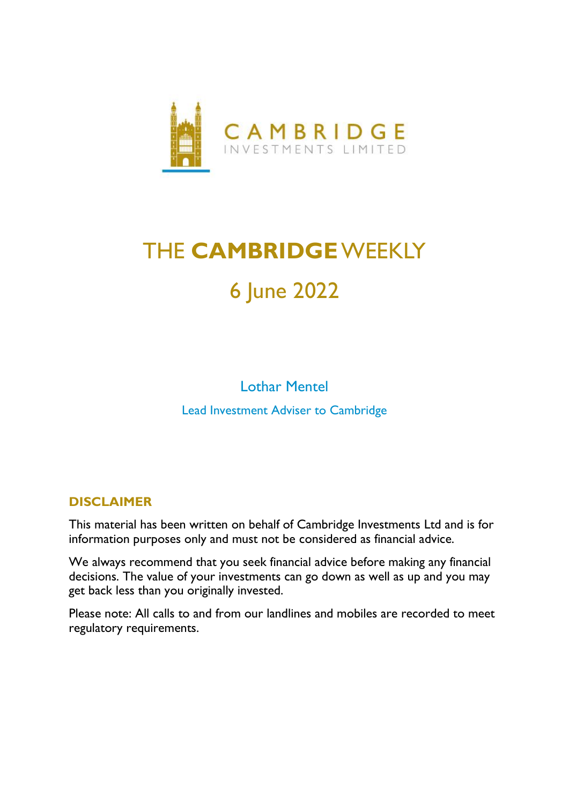

# THE **CAMBRIDGE**WEEKLY 6 June 2022

Lothar Mentel Lead Investment Adviser to Cambridge

### **DISCLAIMER**

This material has been written on behalf of Cambridge Investments Ltd and is for information purposes only and must not be considered as financial advice.

We always recommend that you seek financial advice before making any financial decisions. The value of your investments can go down as well as up and you may get back less than you originally invested.

Please note: All calls to and from our landlines and mobiles are recorded to meet regulatory requirements.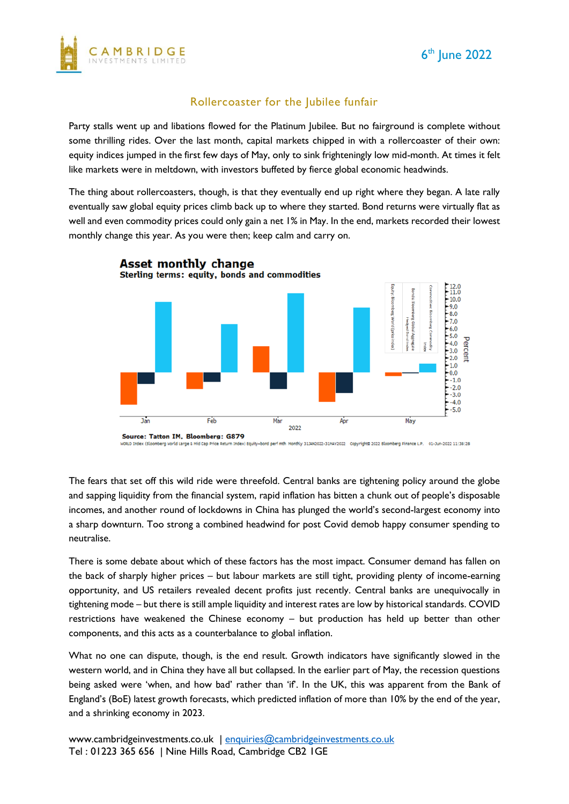



#### Rollercoaster for the Jubilee funfair

Party stalls went up and libations flowed for the Platinum Jubilee. But no fairground is complete without some thrilling rides. Over the last month, capital markets chipped in with a rollercoaster of their own: equity indices jumped in the first few days of May, only to sink frighteningly low mid-month. At times it felt like markets were in meltdown, with investors buffeted by fierce global economic headwinds.

The thing about rollercoasters, though, is that they eventually end up right where they began. A late rally eventually saw global equity prices climb back up to where they started. Bond returns were virtually flat as well and even commodity prices could only gain a net 1% in May. In the end, markets recorded their lowest monthly change this year. As you were then; keep calm and carry on.



dex) Equity+bond perf mth Monthly 3134N2022-31MAV2022 CopyrightD 2022 Bloomberg Finance L.P. 01-3un-2022 11:38:28 orld Large & Mid Cap Price Return

The fears that set off this wild ride were threefold. Central banks are tightening policy around the globe and sapping liquidity from the financial system, rapid inflation has bitten a chunk out of people's disposable incomes, and another round of lockdowns in China has plunged the world's second-largest economy into a sharp downturn. Too strong a combined headwind for post Covid demob happy consumer spending to neutralise.

There is some debate about which of these factors has the most impact. Consumer demand has fallen on the back of sharply higher prices – but labour markets are still tight, providing plenty of income-earning opportunity, and US retailers revealed decent profits just recently. Central banks are unequivocally in tightening mode – but there is still ample liquidity and interest rates are low by historical standards. COVID restrictions have weakened the Chinese economy – but production has held up better than other components, and this acts as a counterbalance to global inflation.

What no one can dispute, though, is the end result. Growth indicators have significantly slowed in the western world, and in China they have all but collapsed. In the earlier part of May, the recession questions being asked were 'when, and how bad' rather than 'if'. In the UK, this was apparent from the Bank of England's (BoE) latest growth forecasts, which predicted inflation of more than 10% by the end of the year, and a shrinking economy in 2023.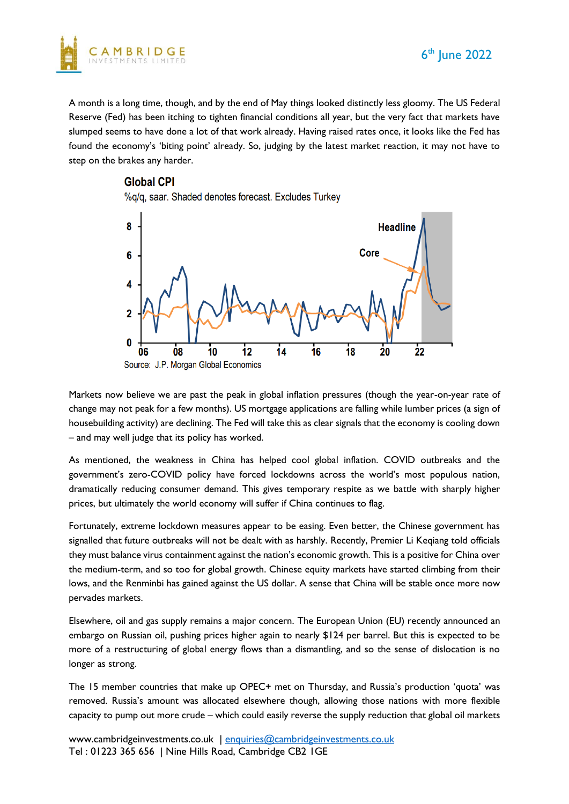

A month is a long time, though, and by the end of May things looked distinctly less gloomy. The US Federal Reserve (Fed) has been itching to tighten financial conditions all year, but the very fact that markets have slumped seems to have done a lot of that work already. Having raised rates once, it looks like the Fed has found the economy's 'biting point' already. So, judging by the latest market reaction, it may not have to step on the brakes any harder.

#### **Global CPI**

%g/g, saar, Shaded denotes forecast, Excludes Turkey



Markets now believe we are past the peak in global inflation pressures (though the year-on-year rate of change may not peak for a few months). US mortgage applications are falling while lumber prices (a sign of housebuilding activity) are declining. The Fed will take this as clear signals that the economy is cooling down – and may well judge that its policy has worked.

As mentioned, the weakness in China has helped cool global inflation. COVID outbreaks and the government's zero-COVID policy have forced lockdowns across the world's most populous nation, dramatically reducing consumer demand. This gives temporary respite as we battle with sharply higher prices, but ultimately the world economy will suffer if China continues to flag.

Fortunately, extreme lockdown measures appear to be easing. Even better, the Chinese government has signalled that future outbreaks will not be dealt with as harshly. Recently, Premier Li Keqiang told officials they must balance virus containment against the nation's economic growth. This is a positive for China over the medium-term, and so too for global growth. Chinese equity markets have started climbing from their lows, and the Renminbi has gained against the US dollar. A sense that China will be stable once more now pervades markets.

Elsewhere, oil and gas supply remains a major concern. The European Union (EU) recently announced an embargo on Russian oil, pushing prices higher again to nearly \$124 per barrel. But this is expected to be more of a restructuring of global energy flows than a dismantling, and so the sense of dislocation is no longer as strong.

The 15 member countries that make up OPEC+ met on Thursday, and Russia's production 'quota' was removed. Russia's amount was allocated elsewhere though, allowing those nations with more flexible capacity to pump out more crude – which could easily reverse the supply reduction that global oil markets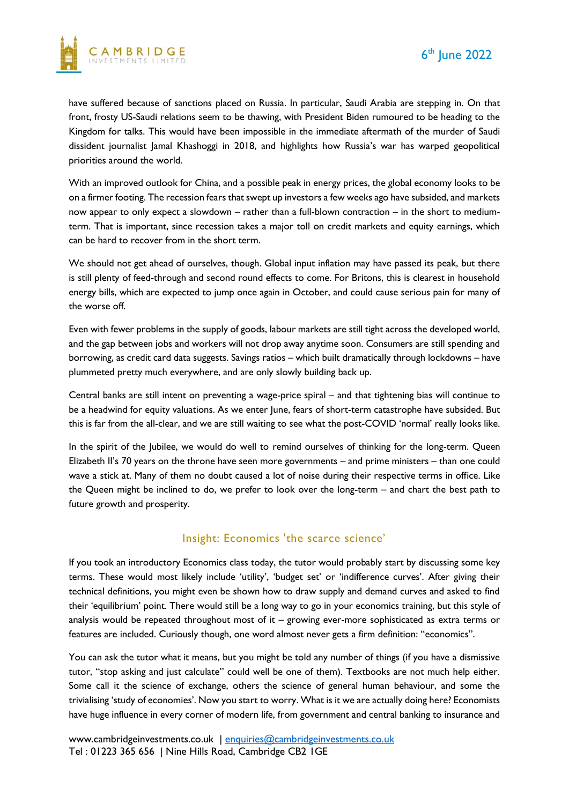

have suffered because of sanctions placed on Russia. In particular, Saudi Arabia are stepping in. On that front, frosty US-Saudi relations seem to be thawing, with President Biden rumoured to be heading to the Kingdom for talks. This would have been impossible in the immediate aftermath of the murder of Saudi dissident journalist Jamal Khashoggi in 2018, and highlights how Russia's war has warped geopolitical priorities around the world.

With an improved outlook for China, and a possible peak in energy prices, the global economy looks to be on a firmer footing. The recession fears that swept up investors a few weeks ago have subsided, and markets now appear to only expect a slowdown – rather than a full-blown contraction – in the short to mediumterm. That is important, since recession takes a major toll on credit markets and equity earnings, which can be hard to recover from in the short term.

We should not get ahead of ourselves, though. Global input inflation may have passed its peak, but there is still plenty of feed-through and second round effects to come. For Britons, this is clearest in household energy bills, which are expected to jump once again in October, and could cause serious pain for many of the worse off.

Even with fewer problems in the supply of goods, labour markets are still tight across the developed world, and the gap between jobs and workers will not drop away anytime soon. Consumers are still spending and borrowing, as credit card data suggests. Savings ratios – which built dramatically through lockdowns – have plummeted pretty much everywhere, and are only slowly building back up.

Central banks are still intent on preventing a wage-price spiral – and that tightening bias will continue to be a headwind for equity valuations. As we enter June, fears of short-term catastrophe have subsided. But this is far from the all-clear, and we are still waiting to see what the post-COVID 'normal' really looks like.

In the spirit of the Jubilee, we would do well to remind ourselves of thinking for the long-term. Queen Elizabeth II's 70 years on the throne have seen more governments – and prime ministers – than one could wave a stick at. Many of them no doubt caused a lot of noise during their respective terms in office. Like the Queen might be inclined to do, we prefer to look over the long-term – and chart the best path to future growth and prosperity.

#### Insight: Economics 'the scarce science'

If you took an introductory Economics class today, the tutor would probably start by discussing some key terms. These would most likely include 'utility', 'budget set' or 'indifference curves'. After giving their technical definitions, you might even be shown how to draw supply and demand curves and asked to find their 'equilibrium' point. There would still be a long way to go in your economics training, but this style of analysis would be repeated throughout most of it – growing ever-more sophisticated as extra terms or features are included. Curiously though, one word almost never gets a firm definition: "economics".

You can ask the tutor what it means, but you might be told any number of things (if you have a dismissive tutor, "stop asking and just calculate" could well be one of them). Textbooks are not much help either. Some call it the science of exchange, others the science of general human behaviour, and some the trivialising 'study of economies'. Now you start to worry. What is it we are actually doing here? Economists have huge influence in every corner of modern life, from government and central banking to insurance and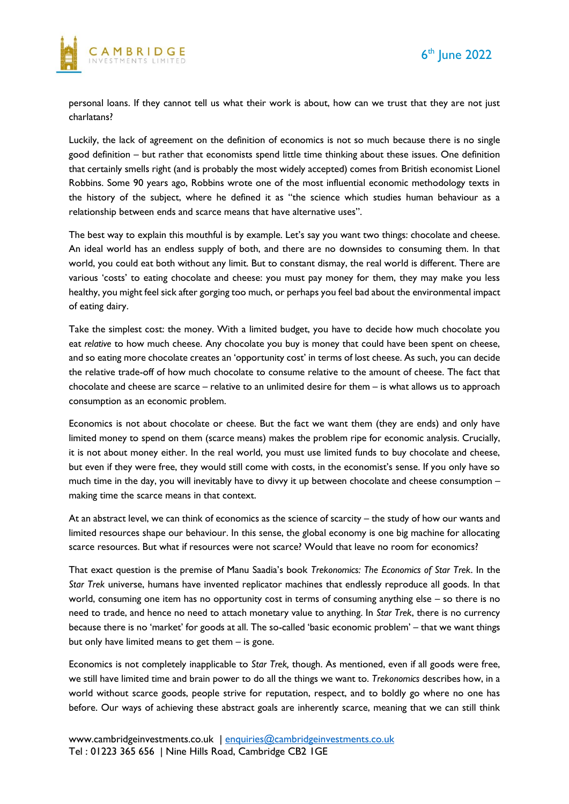



personal loans. If they cannot tell us what their work is about, how can we trust that they are not just charlatans?

Luckily, the lack of agreement on the definition of economics is not so much because there is no single good definition – but rather that economists spend little time thinking about these issues. One definition that certainly smells right (and is probably the most widely accepted) comes from British economist Lionel Robbins. Some 90 years ago, Robbins wrote one of the most influential economic methodology texts in the history of the subject, where he defined it as "the science which studies human behaviour as a relationship between ends and scarce means that have alternative uses".

The best way to explain this mouthful is by example. Let's say you want two things: chocolate and cheese. An ideal world has an endless supply of both, and there are no downsides to consuming them. In that world, you could eat both without any limit. But to constant dismay, the real world is different. There are various 'costs' to eating chocolate and cheese: you must pay money for them, they may make you less healthy, you might feel sick after gorging too much, or perhaps you feel bad about the environmental impact of eating dairy.

Take the simplest cost: the money. With a limited budget, you have to decide how much chocolate you eat *relative* to how much cheese. Any chocolate you buy is money that could have been spent on cheese, and so eating more chocolate creates an 'opportunity cost' in terms of lost cheese. As such, you can decide the relative trade-off of how much chocolate to consume relative to the amount of cheese. The fact that chocolate and cheese are scarce – relative to an unlimited desire for them – is what allows us to approach consumption as an economic problem.

Economics is not about chocolate or cheese. But the fact we want them (they are ends) and only have limited money to spend on them (scarce means) makes the problem ripe for economic analysis. Crucially, it is not about money either. In the real world, you must use limited funds to buy chocolate and cheese, but even if they were free, they would still come with costs, in the economist's sense. If you only have so much time in the day, you will inevitably have to divvy it up between chocolate and cheese consumption – making time the scarce means in that context.

At an abstract level, we can think of economics as the science of scarcity – the study of how our wants and limited resources shape our behaviour. In this sense, the global economy is one big machine for allocating scarce resources. But what if resources were not scarce? Would that leave no room for economics?

That exact question is the premise of Manu Saadia's book *Trekonomics: The Economics of Star Trek*. In the *Star Trek* universe, humans have invented replicator machines that endlessly reproduce all goods. In that world, consuming one item has no opportunity cost in terms of consuming anything else – so there is no need to trade, and hence no need to attach monetary value to anything. In *Star Trek*, there is no currency because there is no 'market' for goods at all. The so-called 'basic economic problem' – that we want things but only have limited means to get them – is gone.

Economics is not completely inapplicable to *Star Trek,* though. As mentioned, even if all goods were free, we still have limited time and brain power to do all the things we want to. *Trekonomics* describes how, in a world without scarce goods, people strive for reputation, respect, and to boldly go where no one has before. Our ways of achieving these abstract goals are inherently scarce, meaning that we can still think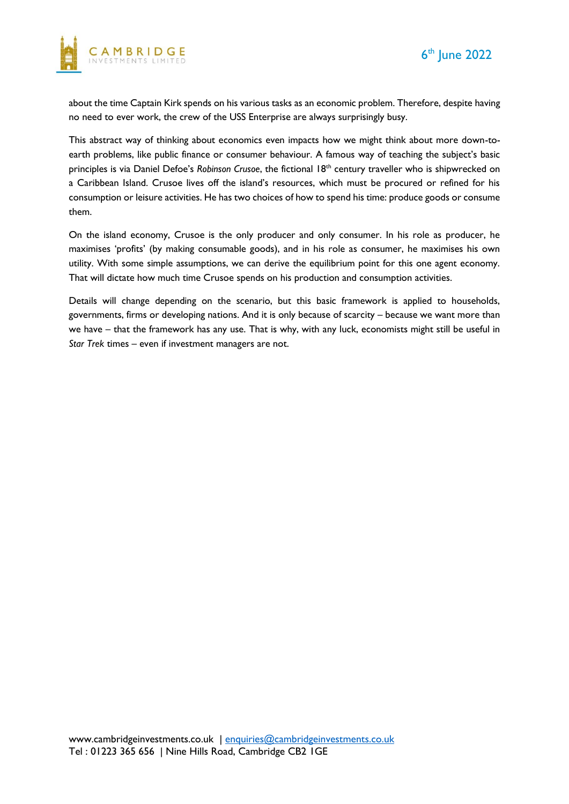

about the time Captain Kirk spends on his various tasks as an economic problem. Therefore, despite having no need to ever work, the crew of the USS Enterprise are always surprisingly busy.

This abstract way of thinking about economics even impacts how we might think about more down-toearth problems, like public finance or consumer behaviour. A famous way of teaching the subject's basic principles is via Daniel Defoe's *Robinson Crusoe*, the fictional 18th century traveller who is shipwrecked on a Caribbean Island. Crusoe lives off the island's resources, which must be procured or refined for his consumption or leisure activities. He has two choices of how to spend his time: produce goods or consume them.

On the island economy, Crusoe is the only producer and only consumer. In his role as producer, he maximises 'profits' (by making consumable goods), and in his role as consumer, he maximises his own utility. With some simple assumptions, we can derive the equilibrium point for this one agent economy. That will dictate how much time Crusoe spends on his production and consumption activities.

Details will change depending on the scenario, but this basic framework is applied to households, governments, firms or developing nations. And it is only because of scarcity – because we want more than we have – that the framework has any use. That is why, with any luck, economists might still be useful in *Star Trek* times – even if investment managers are not.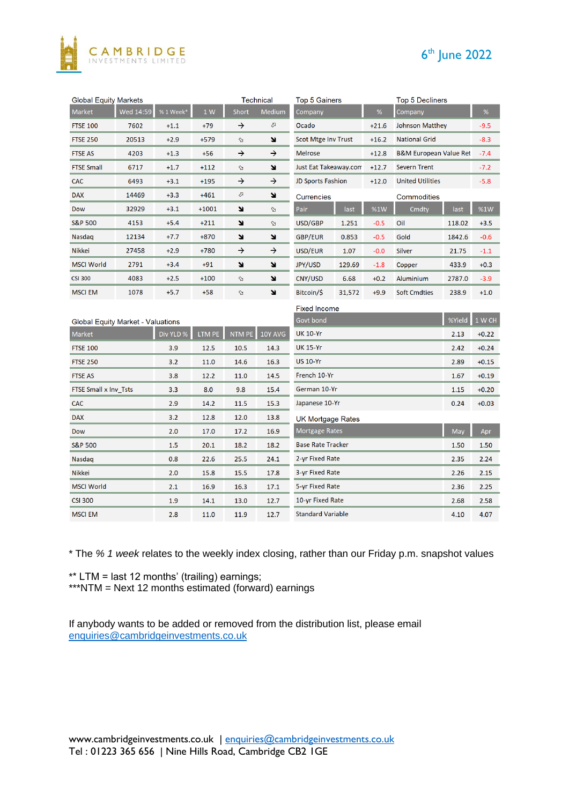



| <b>Global Equity Markets</b>             |           |           |         | <b>Technical</b> |                | <b>Top 5 Gainers</b>             |        |         | <b>Top 5 Decliners</b>            |        |         |
|------------------------------------------|-----------|-----------|---------|------------------|----------------|----------------------------------|--------|---------|-----------------------------------|--------|---------|
| Market                                   | Wed 14:59 | %1 Week*  | 1 W     | Short            | Medium         | Company                          |        | %       | Company                           |        | %       |
| <b>FTSE 100</b>                          | 7602      | $+1.1$    | $+79$   | →                | ⇗              | Ocado                            |        | $+21.6$ | Johnson Matthey                   |        | $-9.5$  |
| <b>FTSE 250</b>                          | 20513     | $+2.9$    | $+579$  | $\Delta$         | N              | <b>Scot Mtge Inv Trust</b>       |        | $+16.2$ | <b>National Grid</b>              |        | $-8.3$  |
| <b>FTSE AS</b>                           | 4203      | $+1.3$    | $+56$   | →                | →              | <b>Melrose</b>                   |        | $+12.8$ | <b>B&amp;M European Value Ret</b> |        | $-7.4$  |
| <b>FTSE Small</b>                        | 6717      | $+1.7$    | $+112$  | A                | N              | Just Eat Takeaway.com            |        | $+12.7$ | <b>Severn Trent</b>               |        | $-7.2$  |
| <b>CAC</b>                               | 6493      | $+3.1$    | $+195$  | →                | →              | <b>JD Sports Fashion</b>         |        | $+12.0$ | <b>United Utilities</b>           |        | $-5.8$  |
| <b>DAX</b>                               | 14469     | $+3.3$    | $+461$  | ⇗                | N              | <b>Currencies</b>                |        |         | Commodities                       |        |         |
| Dow                                      | 32929     | $+3.1$    | $+1001$ | ¥                | $\mathfrak{A}$ | Pair                             | last   | %1W     | Cmdty                             | last   | %1W     |
| <b>S&amp;P 500</b>                       | 4153      | $+5.4$    | $+211$  | ×                | Þ              | USD/GBP                          | 1.251  | $-0.5$  | Oil                               | 118.02 | $+3.5$  |
| Nasdaq                                   | 12134     | $+7.7$    | $+870$  | N                | N              | <b>GBP/EUR</b>                   | 0.853  | $-0.5$  | Gold                              | 1842.6 | $-0.6$  |
| Nikkei                                   | 27458     | $+2.9$    | $+780$  | →                | →              | USD/EUR                          | 1.07   | $-0.0$  | <b>Silver</b>                     | 21.75  | $-1.1$  |
| <b>MSCI World</b>                        | 2791      | $+3.4$    | $+91$   | ×                | N              | JPY/USD                          | 129.69 | $-1.8$  | Copper                            | 433.9  | $+0.3$  |
| <b>CSI 300</b>                           | 4083      | $+2.5$    | $+100$  | A                | ×              | CNY/USD                          | 6.68   | $+0.2$  | Aluminium                         | 2787.0 | $-3.9$  |
| <b>MSCI EM</b>                           | 1078      | $+5.7$    | $+58$   | A                | N              | Bitcoin/\$                       | 31,572 | $+9.9$  | <b>Soft Cmdties</b>               | 238.9  | $+1.0$  |
|                                          |           |           |         |                  |                | <b>Fixed Income</b>              |        |         |                                   |        |         |
| <b>Global Equity Market - Valuations</b> |           |           |         |                  |                | Govt bond                        |        |         |                                   | %Yield | 1 W CH  |
| Market                                   |           | Div YLD % | LTM PE  | <b>NTM PE</b>    | 10Y AVG        | <b>UK 10-Yr</b>                  |        |         |                                   | 2.13   | $+0.22$ |
| <b>FTSE 100</b>                          |           | 3.9       | 12.5    | 10.5             | 14.3           | <b>UK 15-Yr</b>                  |        |         |                                   | 2.42   | $+0.24$ |
| <b>FTSE 250</b>                          |           | 3.2       | 11.0    | 14.6             | 16.3           | <b>US 10-Yr</b>                  | 2.89   | $+0.15$ |                                   |        |         |
| <b>FTSE AS</b>                           |           | 3.8       | 12.2    | 11.0             | 14.5           | French 10-Yr                     |        |         |                                   | 1.67   | $+0.19$ |
| <b>FTSE Small x Inv Tsts</b>             |           | 3.3       | 8.0     | 9.8              | 15.4           | German 10-Yr                     |        |         |                                   | 1.15   | $+0.20$ |
| <b>CAC</b>                               |           | 2.9       | 14.2    | 11.5             | 15.3           | Japanese 10-Yr                   |        |         |                                   | 0.24   | $+0.03$ |
| <b>DAX</b>                               |           | 3.2       | 12.8    | 12.0             | 13.8           | <b>UK Mortgage Rates</b>         |        |         |                                   |        |         |
| Dow                                      |           | 2.0       | 17.0    | 17.2             | 16.9           | Mortgage Rates<br>May            |        |         |                                   |        | Apr     |
| <b>S&amp;P 500</b>                       |           | 1.5       | 20.1    | 18.2             | 18.2           | <b>Base Rate Tracker</b><br>1.50 |        |         |                                   |        | 1.50    |
| Nasdaq                                   |           | 0.8       | 22.6    | 25.5             | 24.1           | 2-yr Fixed Rate                  |        |         |                                   |        | 2.24    |
| Nikkei                                   |           | 2.0       | 15.8    | 15.5             | 17.8           | 3-yr Fixed Rate                  | 2.26   | 2.15    |                                   |        |         |
| <b>MSCI World</b>                        |           | 2.1       | 16.9    | 16.3             | 17.1           | 5-yr Fixed Rate                  | 2.36   | 2.25    |                                   |        |         |
| <b>CSI 300</b>                           |           | 1.9       | 14.1    | 13.0             | 12.7           | 10-yr Fixed Rate                 |        |         |                                   | 2.68   | 2.58    |
| <b>MSCI EM</b>                           |           | 2.8       | 11.0    | 11.9             | 12.7           | <b>Standard Variable</b>         |        |         |                                   | 4.10   | 4.07    |

\* The *% 1 week* relates to the weekly index closing, rather than our Friday p.m. snapshot values

\*\* LTM = last 12 months' (trailing) earnings;

\*\*\*NTM = Next 12 months estimated (forward) earnings

If anybody wants to be added or removed from the distribution list, please email [enquiries@cambridgeinvestments.co.uk](mailto:enquiries@cambridgeinvestments.co.uk)